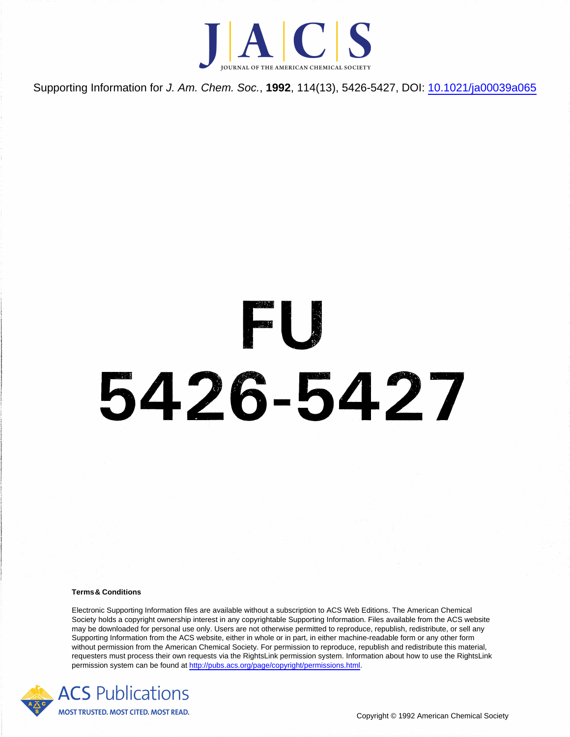

Supporting Information for J. Am. Chem. Soc., **1992**, 114(13), 5426-5427, DOI: [10.1021/ja00039a065](http://dx.doi.org/10.1021/ja00039a065)

## B 5426-5427

## **Terms& Conditions**

Electronic Supporting Information files are available without a subscription to ACS Web Editions. The American Chemical Society holds a copyright ownership interest in any copyrightable Supporting Information. Files available from the ACS website may be downloaded for personal use only. Users are not otherwise permitted to reproduce, republish, redistribute, or sell any Supporting Information from the ACS website, either in whole or in part, in either machine-readable form or any other form without permission from the American Chemical Society. For permission to reproduce, republish and redistribute this material, requesters must process their own requests via the RightsLink permission system. Information about how to use the RightsLink permission system can be found at <http://pubs.acs.org/page/copyright/permissions.html>.

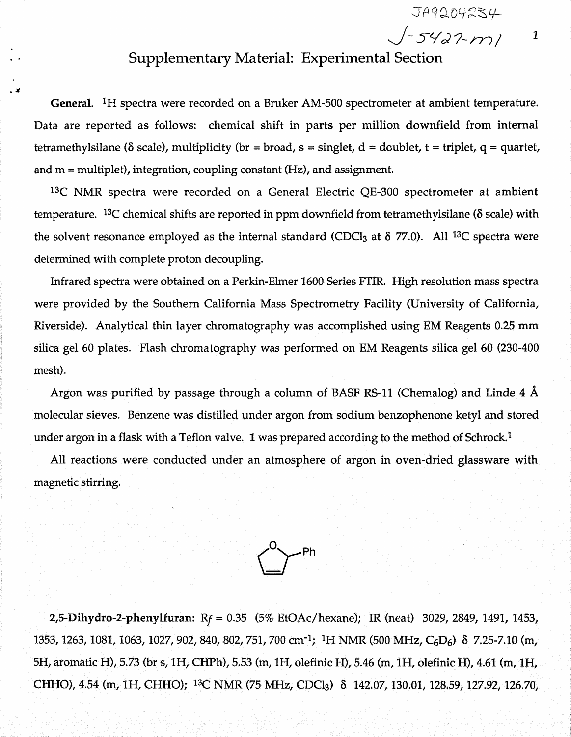*J-yva i - m / <sup>1</sup>*

## **Supplementary Material: Experimental Section**

**General. \*H spectra were recorded on a Bruker AM-500 spectrometer at ambient temperature.** Data are reported as follows: chemical shift in parts per million downfield from internal **tetramethylsilane** ( $\delta$  scale), multiplicity ( $\delta$ r =  $\delta$ road,  $\delta$  =  $\delta$ singlet,  $d$  =  $\delta$ doublet,  $t$  =  $\delta$ riplet,  $q$  =  $\delta$ quartet, **and m = multiplet), integration, coupling constant (Hz), and assignment.**

**13C NMR spectra were recorded on a General Electric QE-300 spectrometer at ambient temperature. 13C chemical shifts are reported in ppm downfield from tetramethylsilane** ( 6 **scale) with the solvent resonance employed as the internal standard (CDCI**3 **at 5 77.0). All 13C spectra were determined with complete proton decoupling.**

**Infrared spectra were obtained on a Perkin-Elmer 1600 Series FTIR. High resolution mass spectra were provided by the Southern California Mass Spectrometry Facility (University of California, Riverside). Analytical thin layer chromatography was accomplished using EM Reagents 0.25 mm silica gel 60 plates. Flash chromatography was performed on EM Reagents silica gel 60 (230-400 mesh).**

**Argon was purified by passage through a column of BASF RS-11 (Chemalog) and Linde 4 A molecular sieves. Benzene was distilled under argon from sodium benzophenone ketyl and stored under argon in a flask with a Teflon valve. 1 was prepared according to the method of Schrock**.1

**All reactions were conducted under an atmosphere of argon in oven-dried glassware with magnetic stirring.**



**2,5-Dihydro-2-phenylfuran: R***f* **= 0.35 (5% EtOAc/hexane); IR (neat) 3029, 2849, 1491, 1453, 1353, 1263, 1081, 1063, 1027, 902, 840, 802, 751, 700 cm<sup>-1</sup>; <sup>1</sup>H NMR (500 MHz, C<sub>6</sub>D<sub>6</sub>)**  $\delta$  **7.25-7.10 (m, 5H, aromatic H), 5.73 (br s, IH, CHPh), 5.53 (m, IH, olefinic H), 5.46 (m, IH , olefinic H), 4.61 (m, IH , CHHO), 4.54 (m, IH , CHHO); 13C NMR (75 MHz, CDCI**<sup>3</sup> **)** 8 **142.07, 130.01, 128.59,127.92, 126.70,**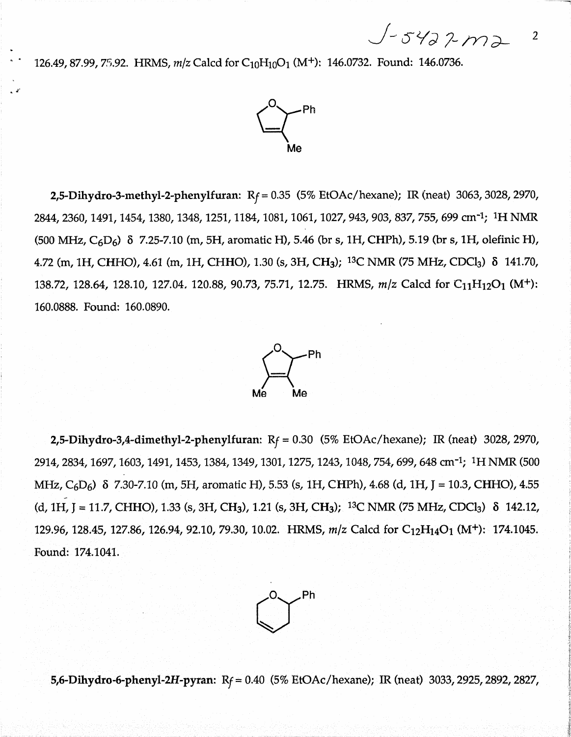*J - 7~m 2-* <sup>2</sup>

126.49, 87.99, 75.92. HRMS, *m*/z Calcd for C<sub>10</sub>H<sub>10</sub>O<sub>1</sub> (M<sup>+</sup>): 146.0732. Found: 146.0736.



2,5-Dihydro-3-methyl-2-phenylfuran:  $R_f = 0.35$  (5% EtOAc/hexane); IR (neat) 3063, 3028, 2970, 2844, 2360, 1491, 1454, 1380, 1348, 1251, 1184, 1081, 1061, 1027, 943, 903, 837, 755, 699 cm<sup>-1</sup>; <sup>1</sup>H NMR  $(500 \text{ MHz}, \text{C}_6\text{ D}_6)$   $\delta$  7.25-7.10 (m, 5H, aromatic H), 5.46 (br s, 1H, CHPh), 5.19 (br s, 1H, olefinic H), 4.72 (m, 1H, CHHO), 4.61 (m, 1H, CHHO), 1.30 (s, 3H, CH<sub>3</sub>); <sup>13</sup>C NMR (75 MHz, CDCl<sub>3</sub>)  $\delta$  141.70, 138.72, 128.64, 128.10, 127.04, 120.88, 90.73, 75.71, 12.75. HRMS,  $m/z$  Calcd for C<sub>11</sub>H<sub>12</sub>O<sub>1</sub> (M<sup>+</sup>): 160.0888. Found: 160.0890.



2,5-Dihydro-3,4-dimethyl-2-phenylfuran: R*f -* 0.30 (5% EtOAc/hexane); IR (neat) 3028, 2970, 2914,2834,1697,1603,1491,1453,1384,1349,1301,1275,1243,1048,754,699,648 cm'1; IH NMR (500 MHz,  $C_6D_6$ )  $\delta$  7.30-7.10 (m, 5H, aromatic H), 5.53 (s, 1H, CHPh), 4.68 (d, 1H, J = 10.3, CHHO), 4.55  $(d, 1H, J = 11.7, CHHO)$ , 1.33 (s, 3H, CH<sub>3</sub>), 1.21 (s, 3H, CH<sub>3</sub>); <sup>13</sup>C NMR (75 MHz, CDCl<sub>3</sub>)  $\delta$  142.12, 129.96, 128.45, 127.86, 126.94, 92.10, 79.30, 10.02. HRMS,  $m/z$  Calcd for C<sub>12</sub>H<sub>14</sub>O<sub>1</sub> (M<sup>+</sup>): 174.1045. Found: 174.1041.



5,6-Dihydro-6-phenyl-2H-pyran:  $R_f = 0.40$  (5% EtOAc/hexane); IR (neat) 3033, 2925, 2892, 2827,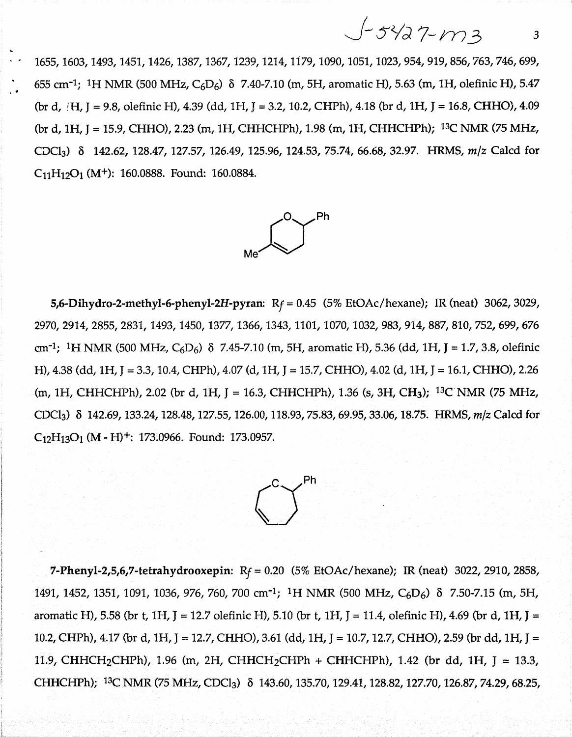$$
J-5427-113
$$

**1655,1603,1493,1451,1426,1387,1367,1239,1214,1179,1090,1051,1023, 954, 919,856,763,746,699, 655 cm"1; 1H NMR (500 MHz, C6D 6) 8 7.40-7.10 (m, 5H, aromatic H), 5.63 (m, 1H, olefinic H), 5.47 (br d, ;H, J = 9.8, olefinic H), 4.39 (dd, 1H,** J **= 3 .2 ,1 0 .2 , CHPh), 4.18 (br d, 1H, J = 16.8, CHHO), 4.09** (br d, 1H, J = 15.9, CHHO), 2.23 (m, 1H, CHHCHPh), 1.98 (m, 1H, CHHCHPh); <sup>13</sup>C NMR (75 MHz, **CDC13) 8 142.62, 128.47, 127.57, 126.49, 125.96, 124.53, 75.74, 6 6 .6 8 , 32.97. HRMS, m/z Calcd for C11H12O1 (M+): 160.0888. Found: 160.0884.**



**5,6-Dihydro-2-methyl-6-phenyl-2H-pyran:** *Rf* **= 0.45 (5% EtOAc/hexane); IR (neat) 3062, 3029, 2970, 2914, 2855,2831, 1493,1450,1377,1366,1343,1101, 1070,1032, 983, 914, 887, 810, 752, 699, 676 cm"1; NMR (500 MHz, C6D6) 8 7.45-7.10 (m, 5H, aromatic H), 5.36 (dd, 1H, J = 1.7,3.8, olefinic H), 4.38 (dd, 1H, J = 3.3,10.4, CHPh), 4.07 (d, 1H, J = 15.7, CHHO), 4.02 (d, 1H, J = 16.1, CHHO), 2.26 (m, 1H, CHHCHPh), 2.02 (br d, 1H, J = 16.3, CHHCHPh), 1.36 (s, 3H, CH3); 13C NMR (75 MHz, CDCI3) 8 142.69,133.24,128.48,127.55,126.00,118.93,75.83,69.95,33.06,18.75. HRMS,** *m/z* **Calcd for C12H13O1 (M - H)+: 173.0966. Found: 173.0957.**



**7-Phenyl-2,5,6,7-tetrahydrooxepin: R***f* **= 0.20 (5% EtOAc/hexane); IR (neat) 3022, 2910, 2858, 1491, 1452, 1351, 1091, 1036, 976, 760, 700 cm'i; 1H NMR (500 MHz, C6D 6) 8 7.50-7.15 (m, 5H, aromatic H), 5.58 (br t, 1H, J = 12.7 olefinic H), 5.10 (br t, 1H, J = 11.4, olefinic H), 4.69 (br d, 1H, J = 10.2, CHPh), 4.17 (br d, 1H, J = 12.7, CHHO), 3.61 (dd, 1H, J = 10.7,12.7, CHHO), 2.59 (br dd, 1H, J = 11.9, CHHCII2CI IPh), 1.96 (m, 2H, CHHCH2CHPh + CHHCHPh), 1.42 (br dd, 1H, J = 13.3, CHHCHPh); 13C NMR (75 MHz, CDCI3) 8 143.60,135.70,129.41,128.82,127.70,126.87,74.29,68.25,**